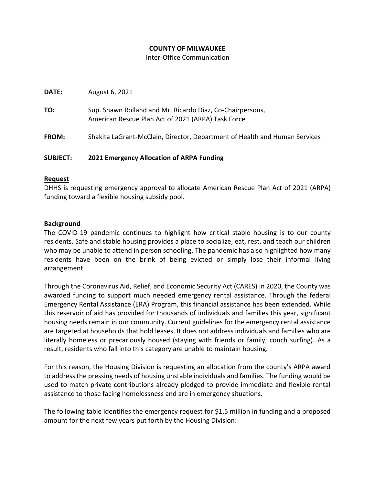## **COUNTY OF MILWAUKEE**

Inter-Office Communication

**DATE:** August 6, 2021

**TO:** Sup. Shawn Rolland and Mr. Ricardo Diaz, Co-Chairpersons, American Rescue Plan Act of 2021 (ARPA) Task Force

**FROM:** Shakita LaGrant-McClain, Director, Department of Health and Human Services

# **SUBJECT: 2021 Emergency Allocation of ARPA Funding**

## **Request**

DHHS is requesting emergency approval to allocate American Rescue Plan Act of 2021 (ARPA) funding toward a flexible housing subsidy pool.

## **Background**

The COVID-19 pandemic continues to highlight how critical stable housing is to our county residents. Safe and stable housing provides a place to socialize, eat, rest, and teach our children who may be unable to attend in person schooling. The pandemic has also highlighted how many residents have been on the brink of being evicted or simply lose their informal living arrangement.

Through the Coronavirus Aid, Relief, and Economic Security Act (CARES) in 2020, the County was awarded funding to support much needed emergency rental assistance. Through the federal Emergency Rental Assistance (ERA) Program, this financial assistance has been extended. While this reservoir of aid has provided for thousands of individuals and families this year, significant housing needs remain in our community. Current guidelines for the emergency rental assistance are targeted at households that hold leases. It does not address individuals and families who are literally homeless or precariously housed (staying with friends or family, couch surfing). As a result, residents who fall into this category are unable to maintain housing.

For this reason, the Housing Division is requesting an allocation from the county's ARPA award to address the pressing needs of housing unstable individuals and families. The funding would be used to match private contributions already pledged to provide immediate and flexible rental assistance to those facing homelessness and are in emergency situations.

The following table identifies the emergency request for \$1.5 million in funding and a proposed amount for the next few years put forth by the Housing Division: